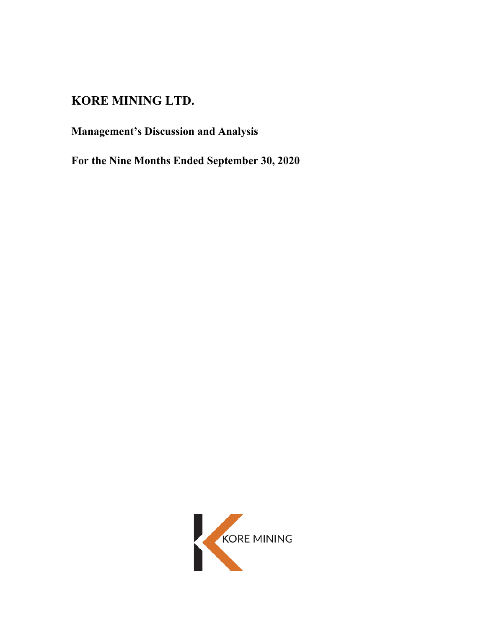# **KORE MINING LTD.**

**Management's Discussion and Analysis**

**For the Nine Months Ended September 30, 2020**

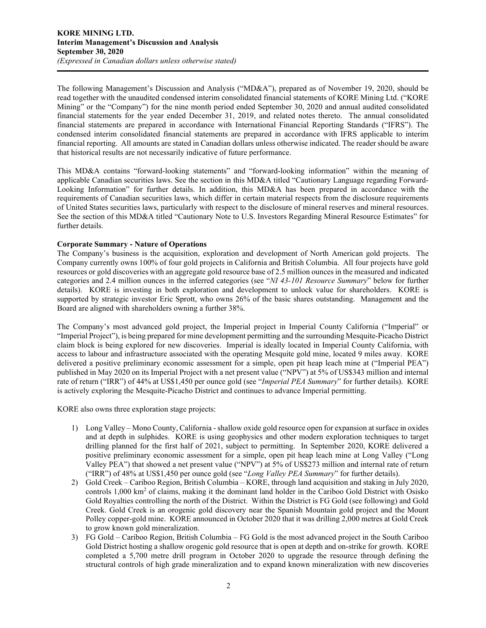The following Management's Discussion and Analysis ("MD&A"), prepared as of November 19, 2020, should be read together with the unaudited condensed interim consolidated financial statements of KORE Mining Ltd. ("KORE Mining" or the "Company") for the nine month period ended September 30, 2020 and annual audited consolidated financial statements for the year ended December 31, 2019, and related notes thereto. The annual consolidated financial statements are prepared in accordance with International Financial Reporting Standards ("IFRS"). The condensed interim consolidated financial statements are prepared in accordance with IFRS applicable to interim financial reporting. All amounts are stated in Canadian dollars unless otherwise indicated. The reader should be aware that historical results are not necessarily indicative of future performance.

This MD&A contains "forward-looking statements" and "forward-looking information" within the meaning of applicable Canadian securities laws. See the section in this MD&A titled "Cautionary Language regarding Forward-Looking Information" for further details. In addition, this MD&A has been prepared in accordance with the requirements of Canadian securities laws, which differ in certain material respects from the disclosure requirements of United States securities laws, particularly with respect to the disclosure of mineral reserves and mineral resources. See the section of this MD&A titled "Cautionary Note to U.S. Investors Regarding Mineral Resource Estimates" for further details.

# **Corporate Summary - Nature of Operations**

The Company's business is the acquisition, exploration and development of North American gold projects. The Company currently owns 100% of four gold projects in California and British Columbia. All four projects have gold resources or gold discoveries with an aggregate gold resource base of 2.5 million ounces in the measured and indicated categories and 2.4 million ounces in the inferred categories (see "*NI 43-101 Resource Summary*" below for further details). KORE is investing in both exploration and development to unlock value for shareholders. KORE is supported by strategic investor Eric Sprott, who owns 26% of the basic shares outstanding. Management and the Board are aligned with shareholders owning a further 38%.

The Company's most advanced gold project, the Imperial project in Imperial County California ("Imperial" or "Imperial Project"), is being prepared for mine development permitting and the surrounding Mesquite-Picacho District claim block is being explored for new discoveries. Imperial is ideally located in Imperial County California, with access to labour and infrastructure associated with the operating Mesquite gold mine, located 9 miles away. KORE delivered a positive preliminary economic assessment for a simple, open pit heap leach mine at ("Imperial PEA") published in May 2020 on its Imperial Project with a net present value ("NPV") at 5% of US\$343 million and internal rate of return ("IRR") of 44% at US\$1,450 per ounce gold (see "*Imperial PEA Summary*" for further details). KORE is actively exploring the Mesquite-Picacho District and continues to advance Imperial permitting.

KORE also owns three exploration stage projects:

- 1) Long Valley Mono County, California shallow oxide gold resource open for expansion at surface in oxides and at depth in sulphides. KORE is using geophysics and other modern exploration techniques to target drilling planned for the first half of 2021, subject to permitting. In September 2020, KORE delivered a positive preliminary economic assessment for a simple, open pit heap leach mine at Long Valley ("Long Valley PEA") that showed a net present value ("NPV") at 5% of US\$273 million and internal rate of return ("IRR") of 48% at US\$1,450 per ounce gold (see "*Long Valley PEA Summary*" for further details).
- 2) Gold Creek Cariboo Region, British Columbia KORE, through land acquisition and staking in July 2020, controls 1,000 km2 of claims, making it the dominant land holder in the Cariboo Gold District with Osisko Gold Royalties controlling the north of the District. Within the District is FG Gold (see following) and Gold Creek. Gold Creek is an orogenic gold discovery near the Spanish Mountain gold project and the Mount Polley copper-gold mine. KORE announced in October 2020 that it was drilling 2,000 metres at Gold Creek to grow known gold mineralization.
- 3) FG Gold Cariboo Region, British Columbia FG Gold is the most advanced project in the South Cariboo Gold District hosting a shallow orogenic gold resource that is open at depth and on-strike for growth. KORE completed a 5,700 metre drill program in October 2020 to upgrade the resource through defining the structural controls of high grade mineralization and to expand known mineralization with new discoveries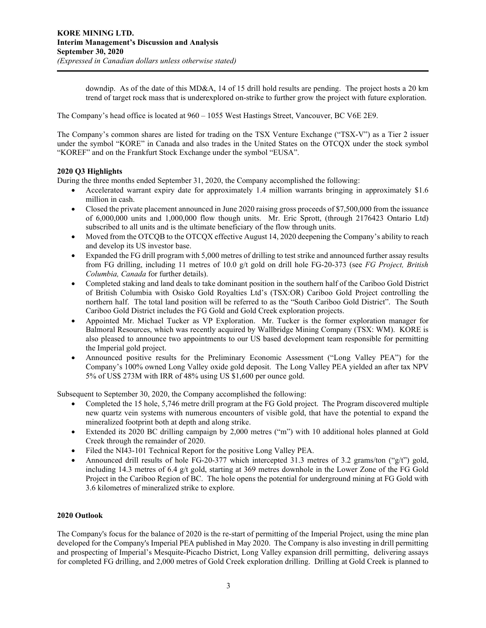downdip. As of the date of this MD&A, 14 of 15 drill hold results are pending. The project hosts a 20 km trend of target rock mass that is underexplored on-strike to further grow the project with future exploration.

The Company's head office is located at 960 – 1055 West Hastings Street, Vancouver, BC V6E 2E9.

The Company's common shares are listed for trading on the TSX Venture Exchange ("TSX-V") as a Tier 2 issuer under the symbol "KORE" in Canada and also trades in the United States on the OTCQX under the stock symbol "KOREF" and on the Frankfurt Stock Exchange under the symbol "EUSA".

# **2020 Q3 Highlights**

During the three months ended September 31, 2020, the Company accomplished the following:

- Accelerated warrant expiry date for approximately 1.4 million warrants bringing in approximately \$1.6 million in cash.
- Closed the private placement announced in June 2020 raising gross proceeds of \$7,500,000 from the issuance of 6,000,000 units and 1,000,000 flow though units. Mr. Eric Sprott, (through 2176423 Ontario Ltd) subscribed to all units and is the ultimate beneficiary of the flow through units.
- Moved from the OTCQB to the OTCQX effective August 14, 2020 deepening the Company's ability to reach and develop its US investor base.
- Expanded the FG drill program with 5,000 metres of drilling to test strike and announced further assay results from FG drilling, including 11 metres of 10.0 g/t gold on drill hole FG-20-373 (see *FG Project, British Columbia, Canada* for further details).
- Completed staking and land deals to take dominant position in the southern half of the Cariboo Gold District of British Columbia with Osisko Gold Royalties Ltd's (TSX:OR) Cariboo Gold Project controlling the northern half. The total land position will be referred to as the "South Cariboo Gold District". The South Cariboo Gold District includes the FG Gold and Gold Creek exploration projects.
- Appointed Mr. Michael Tucker as VP Exploration. Mr. Tucker is the former exploration manager for Balmoral Resources, which was recently acquired by Wallbridge Mining Company (TSX: WM). KORE is also pleased to announce two appointments to our US based development team responsible for permitting the Imperial gold project.
- Announced positive results for the Preliminary Economic Assessment ("Long Valley PEA") for the Company's 100% owned Long Valley oxide gold deposit. The Long Valley PEA yielded an after tax NPV 5% of US\$ 273M with IRR of 48% using US \$1,600 per ounce gold.

Subsequent to September 30, 2020, the Company accomplished the following:

- Completed the 15 hole, 5,746 metre drill program at the FG Gold project. The Program discovered multiple new quartz vein systems with numerous encounters of visible gold, that have the potential to expand the mineralized footprint both at depth and along strike.
- Extended its 2020 BC drilling campaign by 2,000 metres ("m") with 10 additional holes planned at Gold Creek through the remainder of 2020.
- Filed the NI43-101 Technical Report for the positive Long Valley PEA.
- Announced drill results of hole FG-20-377 which intercepted 31.3 metres of 3.2 grams/ton ("g/t") gold, including 14.3 metres of 6.4 g/t gold, starting at 369 metres downhole in the Lower Zone of the FG Gold Project in the Cariboo Region of BC. The hole opens the potential for underground mining at FG Gold with 3.6 kilometres of mineralized strike to explore.

# **2020 Outlook**

The Company's focus for the balance of 2020 is the re-start of permitting of the Imperial Project, using the mine plan developed for the Company's Imperial PEA published in May 2020. The Company is also investing in drill permitting and prospecting of Imperial's Mesquite-Picacho District, Long Valley expansion drill permitting, delivering assays for completed FG drilling, and 2,000 metres of Gold Creek exploration drilling. Drilling at Gold Creek is planned to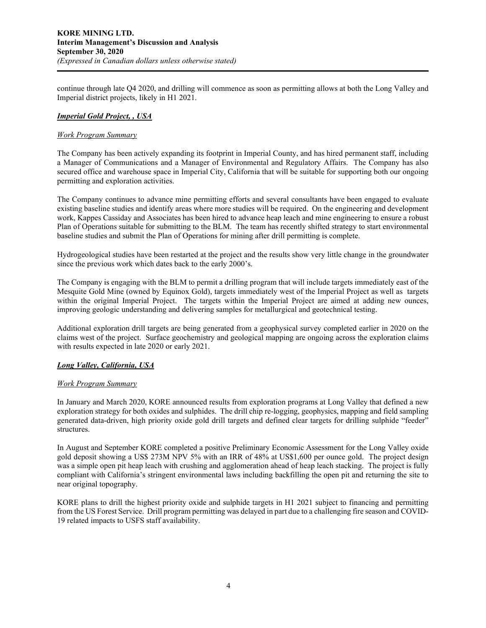continue through late Q4 2020, and drilling will commence as soon as permitting allows at both the Long Valley and Imperial district projects, likely in H1 2021.

# *Imperial Gold Project, , USA*

## *Work Program Summary*

The Company has been actively expanding its footprint in Imperial County, and has hired permanent staff, including a Manager of Communications and a Manager of Environmental and Regulatory Affairs. The Company has also secured office and warehouse space in Imperial City, California that will be suitable for supporting both our ongoing permitting and exploration activities.

The Company continues to advance mine permitting efforts and several consultants have been engaged to evaluate existing baseline studies and identify areas where more studies will be required. On the engineering and development work, Kappes Cassiday and Associates has been hired to advance heap leach and mine engineering to ensure a robust Plan of Operations suitable for submitting to the BLM. The team has recently shifted strategy to start environmental baseline studies and submit the Plan of Operations for mining after drill permitting is complete.

Hydrogeological studies have been restarted at the project and the results show very little change in the groundwater since the previous work which dates back to the early 2000's.

The Company is engaging with the BLM to permit a drilling program that will include targets immediately east of the Mesquite Gold Mine (owned by Equinox Gold), targets immediately west of the Imperial Project as well as targets within the original Imperial Project. The targets within the Imperial Project are aimed at adding new ounces, improving geologic understanding and delivering samples for metallurgical and geotechnical testing.

Additional exploration drill targets are being generated from a geophysical survey completed earlier in 2020 on the claims west of the project. Surface geochemistry and geological mapping are ongoing across the exploration claims with results expected in late 2020 or early 2021.

# *Long Valley, California, USA*

## *Work Program Summary*

In January and March 2020, KORE announced results from exploration programs at Long Valley that defined a new exploration strategy for both oxides and sulphides. The drill chip re-logging, geophysics, mapping and field sampling generated data-driven, high priority oxide gold drill targets and defined clear targets for drilling sulphide "feeder" structures.

In August and September KORE completed a positive Preliminary Economic Assessment for the Long Valley oxide gold deposit showing a US\$ 273M NPV 5% with an IRR of 48% at US\$1,600 per ounce gold. The project design was a simple open pit heap leach with crushing and agglomeration ahead of heap leach stacking. The project is fully compliant with California's stringent environmental laws including backfilling the open pit and returning the site to near original topography.

KORE plans to drill the highest priority oxide and sulphide targets in H1 2021 subject to financing and permitting from the US Forest Service. Drill program permitting was delayed in part due to a challenging fire season and COVID-19 related impacts to USFS staff availability.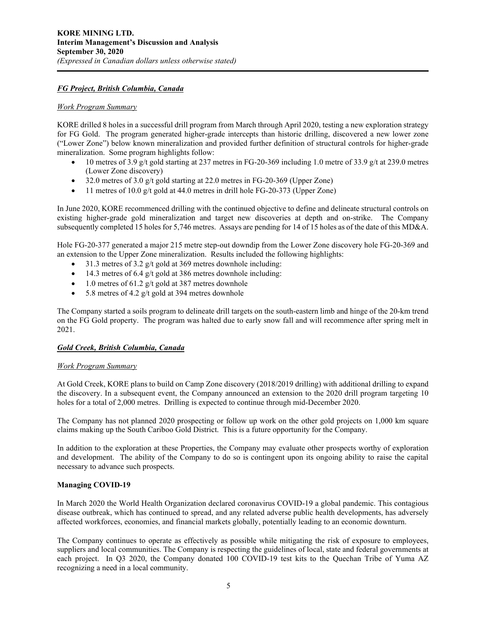# *FG Project, British Columbia, Canada*

## *Work Program Summary*

KORE drilled 8 holes in a successful drill program from March through April 2020, testing a new exploration strategy for FG Gold. The program generated higher-grade intercepts than historic drilling, discovered a new lower zone ("Lower Zone") below known mineralization and provided further definition of structural controls for higher-grade mineralization. Some program highlights follow:

- 10 metres of 3.9 g/t gold starting at 237 metres in FG-20-369 including 1.0 metre of 33.9 g/t at 239.0 metres (Lower Zone discovery)
- 32.0 metres of 3.0 g/t gold starting at 22.0 metres in FG-20-369 (Upper Zone)
- 11 metres of 10.0 g/t gold at 44.0 metres in drill hole FG-20-373 (Upper Zone)

In June 2020, KORE recommenced drilling with the continued objective to define and delineate structural controls on existing higher-grade gold mineralization and target new discoveries at depth and on-strike. The Company subsequently completed 15 holes for 5,746 metres. Assays are pending for 14 of 15 holes as of the date of this MD&A.

Hole FG-20-377 generated a major 215 metre step-out downdip from the Lower Zone discovery hole FG-20-369 and an extension to the Upper Zone mineralization. Results included the following highlights:

- 31.3 metres of 3.2  $g/t$  gold at 369 metres downhole including:
- $\bullet$  14.3 metres of 6.4 g/t gold at 386 metres downhole including:
- 1.0 metres of 61.2 g/t gold at 387 metres downhole
- 5.8 metres of 4.2 g/t gold at 394 metres downhole

The Company started a soils program to delineate drill targets on the south-eastern limb and hinge of the 20-km trend on the FG Gold property. The program was halted due to early snow fall and will recommence after spring melt in 2021.

#### *Gold Creek, British Columbia, Canada*

## *Work Program Summary*

At Gold Creek, KORE plans to build on Camp Zone discovery (2018/2019 drilling) with additional drilling to expand the discovery. In a subsequent event, the Company announced an extension to the 2020 drill program targeting 10 holes for a total of 2,000 metres. Drilling is expected to continue through mid-December 2020.

The Company has not planned 2020 prospecting or follow up work on the other gold projects on 1,000 km square claims making up the South Cariboo Gold District. This is a future opportunity for the Company.

In addition to the exploration at these Properties, the Company may evaluate other prospects worthy of exploration and development. The ability of the Company to do so is contingent upon its ongoing ability to raise the capital necessary to advance such prospects.

# **Managing COVID-19**

In March 2020 the World Health Organization declared coronavirus COVID-19 a global pandemic. This contagious disease outbreak, which has continued to spread, and any related adverse public health developments, has adversely affected workforces, economies, and financial markets globally, potentially leading to an economic downturn.

The Company continues to operate as effectively as possible while mitigating the risk of exposure to employees, suppliers and local communities. The Company is respecting the guidelines of local, state and federal governments at each project. In Q3 2020, the Company donated 100 COVID-19 test kits to the Quechan Tribe of Yuma AZ recognizing a need in a local community.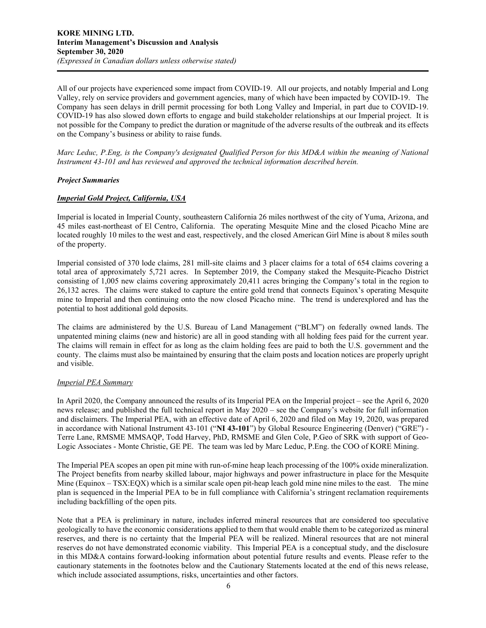All of our projects have experienced some impact from COVID-19. All our projects, and notably Imperial and Long Valley, rely on service providers and government agencies, many of which have been impacted by COVID-19. The Company has seen delays in drill permit processing for both Long Valley and Imperial, in part due to COVID-19. COVID-19 has also slowed down efforts to engage and build stakeholder relationships at our Imperial project. It is not possible for the Company to predict the duration or magnitude of the adverse results of the outbreak and its effects on the Company's business or ability to raise funds.

*Marc Leduc, P.Eng, is the Company's designated Qualified Person for this MD&A within the meaning of National Instrument 43-101 and has reviewed and approved the technical information described herein.*

# *Project Summaries*

# *Imperial Gold Project, California, USA*

Imperial is located in Imperial County, southeastern California 26 miles northwest of the city of Yuma, Arizona, and 45 miles east-northeast of El Centro, California. The operating Mesquite Mine and the closed Picacho Mine are located roughly 10 miles to the west and east, respectively, and the closed American Girl Mine is about 8 miles south of the property.

Imperial consisted of 370 lode claims, 281 mill-site claims and 3 placer claims for a total of 654 claims covering a total area of approximately 5,721 acres. In September 2019, the Company staked the Mesquite-Picacho District consisting of 1,005 new claims covering approximately 20,411 acres bringing the Company's total in the region to 26,132 acres. The claims were staked to capture the entire gold trend that connects Equinox's operating Mesquite mine to Imperial and then continuing onto the now closed Picacho mine. The trend is underexplored and has the potential to host additional gold deposits.

The claims are administered by the U.S. Bureau of Land Management ("BLM") on federally owned lands. The unpatented mining claims (new and historic) are all in good standing with all holding fees paid for the current year. The claims will remain in effect for as long as the claim holding fees are paid to both the U.S. government and the county. The claims must also be maintained by ensuring that the claim posts and location notices are properly upright and visible.

#### *Imperial PEA Summary*

In April 2020, the Company announced the results of its Imperial PEA on the Imperial project – see the April 6, 2020 news release; and published the full technical report in May 2020 – see the Company's website for full information and disclaimers. The Imperial PEA, with an effective date of April 6, 2020 and filed on May 19, 2020, was prepared in accordance with National Instrument 43-101 ("**NI 43-101**") by Global Resource Engineering (Denver) ("GRE") - Terre Lane, RMSME MMSAQP, Todd Harvey, PhD, RMSME and Glen Cole, P.Geo of SRK with support of Geo-Logic Associates - Monte Christie, GE PE. The team was led by Marc Leduc, P.Eng. the COO of KORE Mining.

The Imperial PEA scopes an open pit mine with run-of-mine heap leach processing of the 100% oxide mineralization. The Project benefits from nearby skilled labour, major highways and power infrastructure in place for the Mesquite Mine (Equinox  $-$  TSX:EQX) which is a similar scale open pit-heap leach gold mine nine miles to the east. The mine plan is sequenced in the Imperial PEA to be in full compliance with California's stringent reclamation requirements including backfilling of the open pits.

Note that a PEA is preliminary in nature, includes inferred mineral resources that are considered too speculative geologically to have the economic considerations applied to them that would enable them to be categorized as mineral reserves, and there is no certainty that the Imperial PEA will be realized. Mineral resources that are not mineral reserves do not have demonstrated economic viability. This Imperial PEA is a conceptual study, and the disclosure in this MD&A contains forward-looking information about potential future results and events. Please refer to the cautionary statements in the footnotes below and the Cautionary Statements located at the end of this news release, which include associated assumptions, risks, uncertainties and other factors.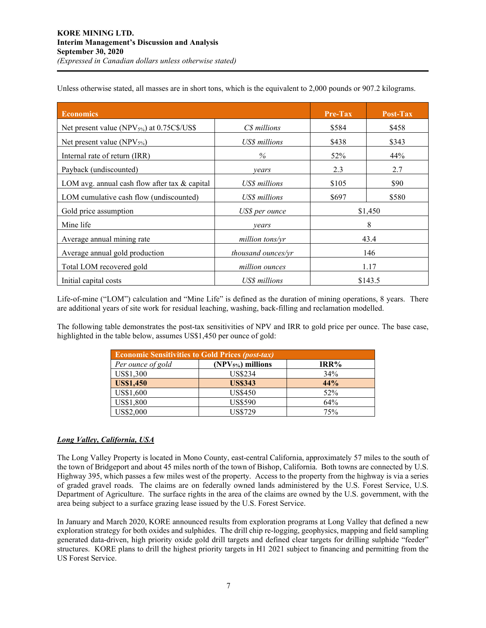| <b>Economics</b>                                  |                    | Pre-Tax | Post-Tax |  |
|---------------------------------------------------|--------------------|---------|----------|--|
| Net present value (NPV $_{5\%}$ ) at 0.75C\$/US\$ | C\$ millions       | \$584   | \$458    |  |
| Net present value $(NPV_{5\%})$                   | US\$ millions      | \$438   | \$343    |  |
| Internal rate of return (IRR)                     | $\%$               | 52%     | 44%      |  |
| Payback (undiscounted)                            | vears              | 2.3     | 2.7      |  |
| LOM avg. annual cash flow after tax $\&$ capital  | US\$ millions      | \$105   | \$90     |  |
| LOM cumulative cash flow (undiscounted)           | US\$ millions      | \$697   | \$580    |  |
| Gold price assumption                             | US\$ per ounce     | \$1,450 |          |  |
| Mine life                                         | vears              | 8       |          |  |
| Average annual mining rate                        | million tons/yr    | 43.4    |          |  |
| Average annual gold production                    | thousand ounces/yr | 146     |          |  |
| Total LOM recovered gold                          | million ounces     | 1.17    |          |  |
| Initial capital costs                             | US\$ millions      | \$143.5 |          |  |

Unless otherwise stated, all masses are in short tons, which is the equivalent to 2,000 pounds or 907.2 kilograms.

Life-of-mine ("LOM") calculation and "Mine Life" is defined as the duration of mining operations, 8 years. There are additional years of site work for residual leaching, washing, back-filling and reclamation modelled.

The following table demonstrates the post-tax sensitivities of NPV and IRR to gold price per ounce. The base case, highlighted in the table below, assumes US\$1,450 per ounce of gold:

| <b>Economic Sensitivities to Gold Prices (post-tax)</b> |                    |      |  |  |  |
|---------------------------------------------------------|--------------------|------|--|--|--|
| Per ounce of gold                                       | $(NPV5%)$ millions | IRR% |  |  |  |
| US\$1,300                                               | US\$234            | 34%  |  |  |  |
| <b>US\$1,450</b>                                        | <b>US\$343</b>     | 44%  |  |  |  |
| US\$1,600                                               | <b>US\$450</b>     | 52%  |  |  |  |
| US\$1,800                                               | <b>US\$590</b>     | 64%  |  |  |  |
| US\$2,000                                               | US\$729            | 75%  |  |  |  |

#### *Long Valley, California, USA*

The Long Valley Property is located in Mono County, east-central California, approximately 57 miles to the south of the town of Bridgeport and about 45 miles north of the town of Bishop, California. Both towns are connected by U.S. Highway 395, which passes a few miles west of the property. Access to the property from the highway is via a series of graded gravel roads. The claims are on federally owned lands administered by the U.S. Forest Service, U.S. Department of Agriculture. The surface rights in the area of the claims are owned by the U.S. government, with the area being subject to a surface grazing lease issued by the U.S. Forest Service.

In January and March 2020, KORE announced results from exploration programs at Long Valley that defined a new exploration strategy for both oxides and sulphides. The drill chip re-logging, geophysics, mapping and field sampling generated data-driven, high priority oxide gold drill targets and defined clear targets for drilling sulphide "feeder" structures. KORE plans to drill the highest priority targets in H1 2021 subject to financing and permitting from the US Forest Service.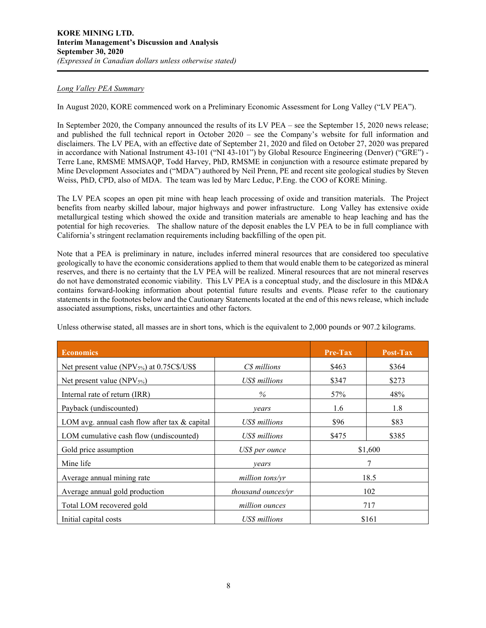# *Long Valley PEA Summary*

In August 2020, KORE commenced work on a Preliminary Economic Assessment for Long Valley ("LV PEA").

In September 2020, the Company announced the results of its LV PEA – see the September 15, 2020 news release; and published the full technical report in October 2020 – see the Company's website for full information and disclaimers. The LV PEA, with an effective date of September 21, 2020 and filed on October 27, 2020 was prepared in accordance with National Instrument 43-101 ("NI 43-101") by Global Resource Engineering (Denver) ("GRE") - Terre Lane, RMSME MMSAQP, Todd Harvey, PhD, RMSME in conjunction with a resource estimate prepared by Mine Development Associates and ("MDA") authored by Neil Prenn, PE and recent site geological studies by Steven Weiss, PhD, CPD, also of MDA. The team was led by Marc Leduc, P.Eng. the COO of KORE Mining.

The LV PEA scopes an open pit mine with heap leach processing of oxide and transition materials. The Project benefits from nearby skilled labour, major highways and power infrastructure. Long Valley has extensive oxide metallurgical testing which showed the oxide and transition materials are amenable to heap leaching and has the potential for high recoveries. The shallow nature of the deposit enables the LV PEA to be in full compliance with California's stringent reclamation requirements including backfilling of the open pit.

Note that a PEA is preliminary in nature, includes inferred mineral resources that are considered too speculative geologically to have the economic considerations applied to them that would enable them to be categorized as mineral reserves, and there is no certainty that the LV PEA will be realized. Mineral resources that are not mineral reserves do not have demonstrated economic viability. This LV PEA is a conceptual study, and the disclosure in this MD&A contains forward-looking information about potential future results and events. Please refer to the cautionary statements in the footnotes below and the Cautionary Statements located at the end of this news release, which include associated assumptions, risks, uncertainties and other factors.

| <b>Economics</b>                                       |                    | <b>Pre-Tax</b> | Post-Tax |  |
|--------------------------------------------------------|--------------------|----------------|----------|--|
| Net present value (NPV <sub>5%</sub> ) at 0.75C\$/US\$ | C\$ millions       | \$463          | \$364    |  |
| Net present value (NPV $_{5\%}$ )                      | US\$ millions      | \$347          | \$273    |  |
| Internal rate of return (IRR)                          | $\%$               | 57%            | 48%      |  |
| Payback (undiscounted)                                 | vears              | 1.6            | 1.8      |  |
| LOM avg. annual cash flow after tax $\&$ capital       | US\$ millions      | \$96           | \$83     |  |
| LOM cumulative cash flow (undiscounted)                | US\$ millions      | \$475          | \$385    |  |
| Gold price assumption                                  | US\$ per ounce     | \$1,600        |          |  |
| Mine life                                              | years              |                |          |  |
| Average annual mining rate                             | million tons/vr    | 18.5           |          |  |
| Average annual gold production                         | thousand ounces/yr | 102            |          |  |
| Total LOM recovered gold                               | million ounces     | 717            |          |  |
| Initial capital costs                                  | US\$ millions      | \$161          |          |  |

Unless otherwise stated, all masses are in short tons, which is the equivalent to 2,000 pounds or 907.2 kilograms.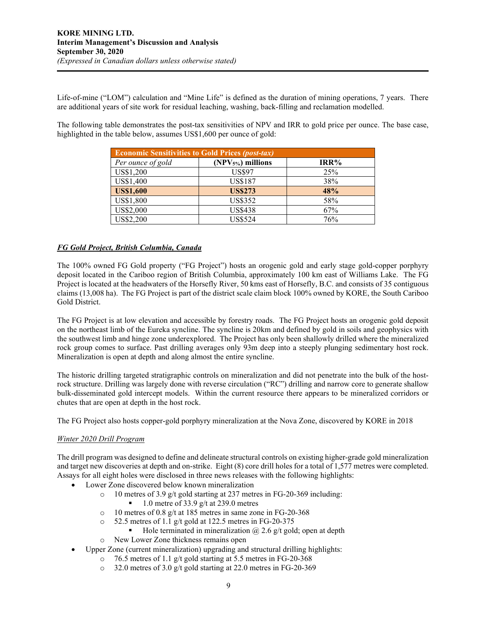Life-of-mine ("LOM") calculation and "Mine Life" is defined as the duration of mining operations, 7 years. There are additional years of site work for residual leaching, washing, back-filling and reclamation modelled.

The following table demonstrates the post-tax sensitivities of NPV and IRR to gold price per ounce. The base case, highlighted in the table below, assumes US\$1,600 per ounce of gold:

| <b>Economic Sensitivities to Gold Prices (post-tax)</b> |                    |      |  |  |  |  |
|---------------------------------------------------------|--------------------|------|--|--|--|--|
| Per ounce of gold                                       | $(NPV5%)$ millions | IRR% |  |  |  |  |
| US\$1,200                                               | <b>US\$97</b>      | 25%  |  |  |  |  |
| US\$1,400                                               | <b>US\$187</b>     | 38%  |  |  |  |  |
| <b>US\$1,600</b>                                        | <b>US\$273</b>     | 48%  |  |  |  |  |
| US\$1,800                                               | <b>US\$352</b>     | 58%  |  |  |  |  |
| US\$2,000                                               | <b>US\$438</b>     | 67%  |  |  |  |  |
| US\$2,200                                               | <b>US\$524</b>     | 76%  |  |  |  |  |

# *FG Gold Project, British Columbia, Canada*

The 100% owned FG Gold property ("FG Project") hosts an orogenic gold and early stage gold-copper porphyry deposit located in the Cariboo region of British Columbia, approximately 100 km east of Williams Lake. The FG Project is located at the headwaters of the Horsefly River, 50 kms east of Horsefly, B.C. and consists of 35 contiguous claims (13,008 ha). The FG Project is part of the district scale claim block 100% owned by KORE, the South Cariboo Gold District.

The FG Project is at low elevation and accessible by forestry roads. The FG Project hosts an orogenic gold deposit on the northeast limb of the Eureka syncline. The syncline is 20km and defined by gold in soils and geophysics with the southwest limb and hinge zone underexplored. The Project has only been shallowly drilled where the mineralized rock group comes to surface. Past drilling averages only 93m deep into a steeply plunging sedimentary host rock. Mineralization is open at depth and along almost the entire syncline.

The historic drilling targeted stratigraphic controls on mineralization and did not penetrate into the bulk of the hostrock structure. Drilling was largely done with reverse circulation ("RC") drilling and narrow core to generate shallow bulk-disseminated gold intercept models. Within the current resource there appears to be mineralized corridors or chutes that are open at depth in the host rock.

The FG Project also hosts copper-gold porphyry mineralization at the Nova Zone, discovered by KORE in 2018

# *Winter 2020 Drill Program*

The drill program was designed to define and delineate structural controls on existing higher-grade gold mineralization and target new discoveries at depth and on-strike. Eight (8) core drill holes for a total of 1,577 metres were completed. Assays for all eight holes were disclosed in three news releases with the following highlights:

- Lower Zone discovered below known mineralization
	- o 10 metres of 3.9 g/t gold starting at 237 metres in FG-20-369 including:<br> $\frac{1}{2}$  0 metre of 33.9  $\sigma$ /t at 239.0 metres
		- 1.0 metre of 33.9 g/t at 239.0 metres
	- o 10 metres of 0.8 g/t at 185 metres in same zone in FG-20-368<br>  $\circ$  52.5 metres of 1.1 g/t gold at 122.5 metres in FG-20-375
		- 52.5 metres of 1.1 g/t gold at 122.5 metres in FG-20-375
			- Hole terminated in mineralization  $@$  2.6 g/t gold; open at depth
	- o New Lower Zone thickness remains open
	- Upper Zone (current mineralization) upgrading and structural drilling highlights:
		- o 76.5 metres of 1.1 g/t gold starting at 5.5 metres in FG-20-368
			- o 32.0 metres of 3.0 g/t gold starting at 22.0 metres in FG-20-369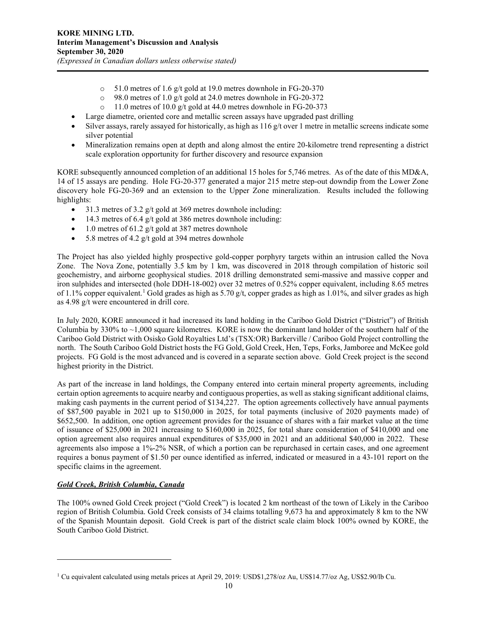- $\circ$  51.0 metres of 1.6 g/t gold at 19.0 metres downhole in FG-20-370<br> $\circ$  98.0 metres of 1.0 g/t gold at 24.0 metres downhole in FG-20-372
- 98.0 metres of 1.0 g/t gold at 24.0 metres downhole in FG-20-372
- $\degree$  11.0 metres of 10.0 g/t gold at 44.0 metres downhole in FG-20-373
- Large diametre, oriented core and metallic screen assays have upgraded past drilling
- Silver assays, rarely assayed for historically, as high as  $116 \frac{g}{t}$  over 1 metre in metallic screens indicate some silver potential
- Mineralization remains open at depth and along almost the entire 20-kilometre trend representing a district scale exploration opportunity for further discovery and resource expansion

KORE subsequently announced completion of an additional 15 holes for 5,746 metres. As of the date of this MD&A, 14 of 15 assays are pending. Hole FG-20-377 generated a major 215 metre step-out downdip from the Lower Zone discovery hole FG-20-369 and an extension to the Upper Zone mineralization. Results included the following highlights:

- 31.3 metres of 3.2  $g/t$  gold at 369 metres downhole including:
- $\bullet$  14.3 metres of 6.4 g/t gold at 386 metres downhole including:
- 1.0 metres of 61.2 g/t gold at 387 metres downhole
- 5.8 metres of 4.2  $g/t$  gold at 394 metres downhole

The Project has also yielded highly prospective gold-copper porphyry targets within an intrusion called the Nova Zone. The Nova Zone, potentially 3.5 km by 1 km, was discovered in 2018 through compilation of historic soil geochemistry, and airborne geophysical studies. 2018 drilling demonstrated semi-massive and massive copper and iron sulphides and intersected (hole DDH-18-002) over 32 metres of 0.52% copper equivalent, including 8.65 metres of [1](#page-9-0).1% copper equivalent.<sup>1</sup> Gold grades as high as 5.70 g/t, copper grades as high as 1.01%, and silver grades as high as 4.98 g/t were encountered in drill core.

In July 2020, KORE announced it had increased its land holding in the Cariboo Gold District ("District") of British Columbia by 330% to  $\sim$ 1,000 square kilometres. KORE is now the dominant land holder of the southern half of the Cariboo Gold District with Osisko Gold Royalties Ltd's (TSX:OR) Barkerville / Cariboo Gold Project controlling the north. The South Cariboo Gold District hosts the FG Gold, Gold Creek, Hen, Teps, Forks, Jamboree and McKee gold projects. FG Gold is the most advanced and is covered in a separate section above. Gold Creek project is the second highest priority in the District.

As part of the increase in land holdings, the Company entered into certain mineral property agreements, including certain option agreements to acquire nearby and contiguous properties, as well as staking significant additional claims, making cash payments in the current period of \$134,227. The option agreements collectively have annual payments of \$87,500 payable in 2021 up to \$150,000 in 2025, for total payments (inclusive of 2020 payments made) of \$652,500. In addition, one option agreement provides for the issuance of shares with a fair market value at the time of issuance of \$25,000 in 2021 increasing to \$160,000 in 2025, for total share consideration of \$410,000 and one option agreement also requires annual expenditures of \$35,000 in 2021 and an additional \$40,000 in 2022. These agreements also impose a 1%-2% NSR, of which a portion can be repurchased in certain cases, and one agreement requires a bonus payment of \$1.50 per ounce identified as inferred, indicated or measured in a 43-101 report on the specific claims in the agreement.

# *Gold Creek, British Columbia, Canada*

The 100% owned Gold Creek project ("Gold Creek") is located 2 km northeast of the town of Likely in the Cariboo region of British Columbia. Gold Creek consists of 34 claims totalling 9,673 ha and approximately 8 km to the NW of the Spanish Mountain deposit. Gold Creek is part of the district scale claim block 100% owned by KORE, the South Cariboo Gold District.

<span id="page-9-0"></span><sup>1</sup> Cu equivalent calculated using metals prices at April 29, 2019: USD\$1,278/oz Au, US\$14.77/oz Ag, US\$2.90/lb Cu.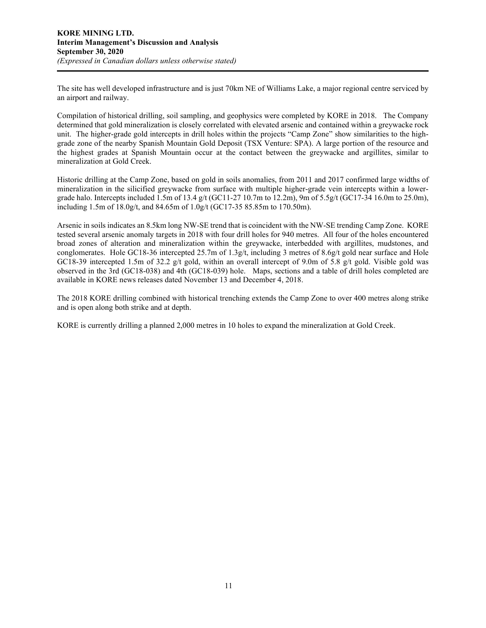The site has well developed infrastructure and is just 70km NE of Williams Lake, a major regional centre serviced by an airport and railway.

Compilation of historical drilling, soil sampling, and geophysics were completed by KORE in 2018. The Company determined that gold mineralization is closely correlated with elevated arsenic and contained within a greywacke rock unit. The higher-grade gold intercepts in drill holes within the projects "Camp Zone" show similarities to the highgrade zone of the nearby Spanish Mountain Gold Deposit (TSX Venture: SPA). A large portion of the resource and the highest grades at Spanish Mountain occur at the contact between the greywacke and argillites, similar to mineralization at Gold Creek.

Historic drilling at the Camp Zone, based on gold in soils anomalies, from 2011 and 2017 confirmed large widths of mineralization in the silicified greywacke from surface with multiple higher-grade vein intercepts within a lowergrade halo. Intercepts included 1.5m of 13.4 g/t (GC11-27 10.7m to 12.2m), 9m of 5.5g/t (GC17-34 16.0m to 25.0m), including 1.5m of 18.0g/t, and 84.65m of 1.0g/t (GC17-35 85.85m to 170.50m).

Arsenic in soils indicates an 8.5km long NW-SE trend that is coincident with the NW-SE trending Camp Zone. KORE tested several arsenic anomaly targets in 2018 with four drill holes for 940 metres. All four of the holes encountered broad zones of alteration and mineralization within the greywacke, interbedded with argillites, mudstones, and conglomerates. Hole GC18-36 intercepted 25.7m of 1.3g/t, including 3 metres of 8.6g/t gold near surface and Hole GC18-39 intercepted 1.5m of 32.2 g/t gold, within an overall intercept of 9.0m of 5.8 g/t gold. Visible gold was observed in the 3rd (GC18-038) and 4th (GC18-039) hole. Maps, sections and a table of drill holes completed are available in KORE news releases dated November 13 and December 4, 2018.

The 2018 KORE drilling combined with historical trenching extends the Camp Zone to over 400 metres along strike and is open along both strike and at depth.

KORE is currently drilling a planned 2,000 metres in 10 holes to expand the mineralization at Gold Creek.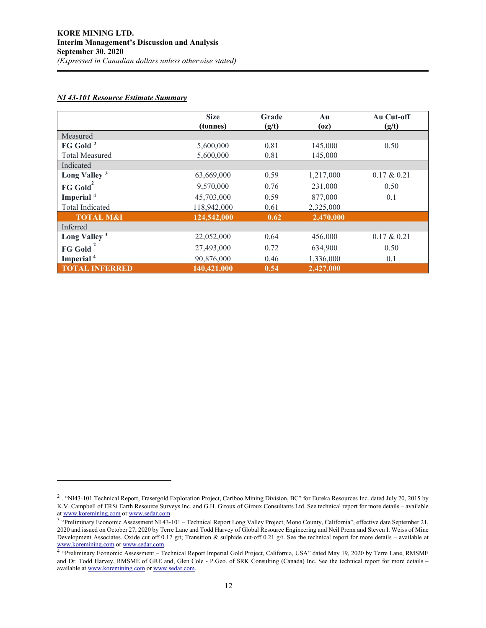# *NI 43-101 Resource Estimate Summary*

|                          | <b>Size</b><br>(tonnes) | Grade<br>(g/t) | Au<br>(oz) | Au Cut-off<br>(g/t) |
|--------------------------|-------------------------|----------------|------------|---------------------|
| Measured                 |                         |                |            |                     |
| FG Gold <sup>2</sup>     | 5,600,000               | 0.81           | 145,000    | 0.50                |
| <b>Total Measured</b>    | 5,600,000               | 0.81           | 145,000    |                     |
| Indicated                |                         |                |            |                     |
| Long Valley <sup>3</sup> | 63,669,000              | 0.59           | 1,217,000  | $0.17 \& 0.21$      |
| FG Gold <sup>2</sup>     | 9,570,000               | 0.76           | 231,000    | 0.50                |
| Imperial <sup>4</sup>    | 45,703,000              | 0.59           | 877,000    | 0.1                 |
| Total Indicated          | 118,942,000             | 0.61           | 2,325,000  |                     |
| <b>TOTAL M&amp;I</b>     | 124,542,000             | 0.62           | 2,470,000  |                     |
| Inferred                 |                         |                |            |                     |
| Long Valley <sup>3</sup> | 22,052,000              | 0.64           | 456,000    | $0.17 \& 0.21$      |
| <b>FG Gold</b>           | 27,493,000              | 0.72           | 634,900    | 0.50                |
| Imperial <sup>4</sup>    | 90,876,000              | 0.46           | 1,336,000  | 0.1                 |
| <b>TOTAL INFERRED</b>    | 140,421,000             | 0.54           | 2,427,000  |                     |

<span id="page-11-0"></span><sup>2</sup> . "NI43-101 Technical Report, Frasergold Exploration Project, Cariboo Mining Division, BC" for Eureka Resources Inc. dated July 20, 2015 by K.V. Campbell of ERSi Earth Resource Surveys Inc. and G.H. Giroux of Giroux Consultants Ltd. See technical report for more details – available at www.koremining.com or www.sedar.com.

<span id="page-11-1"></span><sup>&</sup>lt;sup>3</sup> "Preliminary Ec[o](http://www.koremining.com/)nomic Assessment NI 43-101 – Technical Report Long Valley Project, Mono County, California", effective date September 21, 2020 and issued on October 27, 2020 by Terre Lane and Todd Harvey of Global Resource Engineering and Neil Prenn and Steven I. Weiss of Mine Development Associates. Oxide cut off 0.17 g/t; Transition & sulphide cut-off 0.21 g/t. See the technical report for more details – available at [www.koremining.com](http://www.koremining.com/) o[r www.sedar.com.](http://www.sedar.com/)

<span id="page-11-2"></span><sup>4 &</sup>quot;Preliminary Economic Assessment – Technical Report Imperial Gold Project, California, USA" dated May 19, 2020 by Terre Lane, RMSME and Dr. Todd Harvey, RMSME of GRE and, Glen Cole - P.Geo. of SRK Consulting (Canada) Inc. See the technical report for more details – available a[t www.koremining.com](http://www.koremining.com/) o[r www.sedar.com.](http://www.sedar.com/)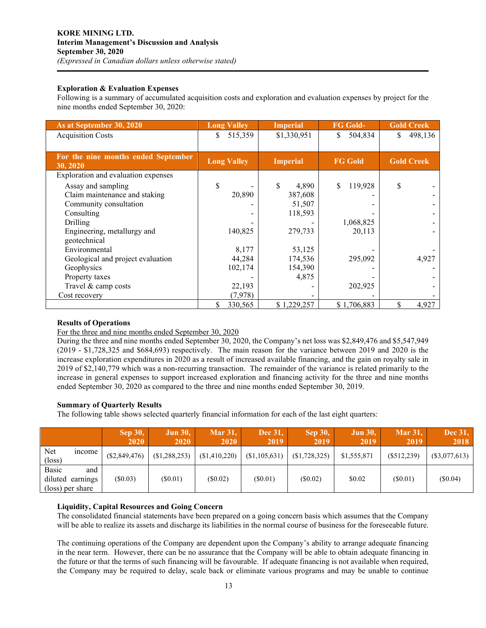# **Exploration & Evaluation Expenses**

Following is a summary of accumulated acquisition costs and exploration and evaluation expenses by project for the nine months ended September 30, 2020:

| As at September 30, 2020                        | <b>Long Valley</b> | <b>Imperial</b> | <b>FG Gold-</b> | <b>Gold Creek</b> |
|-------------------------------------------------|--------------------|-----------------|-----------------|-------------------|
| <b>Acquisition Costs</b>                        | 515,359<br>\$      | \$1,330,951     | S<br>504,834    | 498,136<br>S.     |
|                                                 |                    |                 |                 |                   |
| For the nine months ended September<br>30, 2020 | <b>Long Valley</b> | <b>Imperial</b> | <b>FG Gold</b>  | <b>Gold Creek</b> |
| Exploration and evaluation expenses             |                    |                 |                 |                   |
| Assay and sampling                              | \$                 | \$<br>4,890     | 119,928<br>\$   | \$                |
| Claim maintenance and staking                   | 20,890             | 387,608         |                 |                   |
| Community consultation                          |                    | 51,507          |                 |                   |
| Consulting                                      |                    | 118,593         |                 |                   |
| Drilling                                        |                    |                 | 1,068,825       |                   |
| Engineering, metallurgy and                     | 140,825            | 279,733         | 20,113          |                   |
| geotechnical                                    |                    |                 |                 |                   |
| Environmental                                   | 8,177              | 53,125          |                 |                   |
| Geological and project evaluation               | 44,284             | 174,536         | 295,092         | 4,927             |
| Geophysics                                      | 102,174            | 154,390         |                 |                   |
| Property taxes                                  |                    | 4,875           |                 |                   |
| Travel & camp costs                             | 22,193             |                 | 202,925         |                   |
| Cost recovery                                   | (7,978)            |                 |                 |                   |
|                                                 | \$<br>330,565      | \$1,229,257     | \$1,706,883     | 4,927             |

# **Results of Operations**

For the three and nine months ended September 30, 2020

During the three and nine months ended September 30, 2020, the Company's net loss was \$2,849,476 and \$5,547,949 (2019 - \$1,728,325 and \$684,693) respectively. The main reason for the variance between 2019 and 2020 is the increase exploration expenditures in 2020 as a result of increased available financing, and the gain on royalty sale in 2019 of \$2,140,779 which was a non-recurring transaction. The remainder of the variance is related primarily to the increase in general expenses to support increased exploration and financing activity for the three and nine months ended September 30, 2020 as compared to the three and nine months ended September 30, 2019.

# **Summary of Quarterly Results**

The following table shows selected quarterly financial information for each of the last eight quarters:

|                                               |       | <b>Sep 30,</b><br>2020 | <b>Jun 30,</b><br>2020 | <b>Mar 31.</b><br>2020 | Dec 31,<br>2019 | $\mathop{\rm Sep} 30,$<br>2019 | <b>Jun 30,</b><br>2019 | <b>Mar 31,</b><br>2019 | <b>Dec 31,</b><br>2018 |
|-----------------------------------------------|-------|------------------------|------------------------|------------------------|-----------------|--------------------------------|------------------------|------------------------|------------------------|
| Net<br>$(\text{loss})$                        | mcome | $(\$2,849,476)$        | (\$1,288,253)          | (\$1,410,220)          | (\$1,105,631)   | (S1, 728, 325)                 | \$1,555,871            | $(\$512,239)$          | (\$3,077,613)          |
| Basic<br>diluted earnings<br>(loss) per share | and   | $(\$0.03)$             | $(\$0.01)$             | $(\$0.02)$             | $(\$0.01)$      | $(\$0.02)$                     | \$0.02                 | (S0.01)                | $(\$0.04)$             |

# **Liquidity, Capital Resources and Going Concern**

The consolidated financial statements have been prepared on a going concern basis which assumes that the Company will be able to realize its assets and discharge its liabilities in the normal course of business for the foreseeable future.

The continuing operations of the Company are dependent upon the Company's ability to arrange adequate financing in the near term. However, there can be no assurance that the Company will be able to obtain adequate financing in the future or that the terms of such financing will be favourable. If adequate financing is not available when required, the Company may be required to delay, scale back or eliminate various programs and may be unable to continue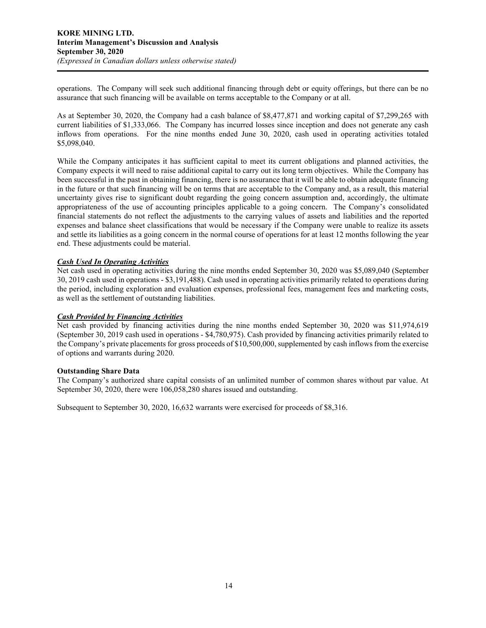operations. The Company will seek such additional financing through debt or equity offerings, but there can be no assurance that such financing will be available on terms acceptable to the Company or at all.

As at September 30, 2020, the Company had a cash balance of \$8,477,871 and working capital of \$7,299,265 with current liabilities of \$1,333,066. The Company has incurred losses since inception and does not generate any cash inflows from operations. For the nine months ended June 30, 2020, cash used in operating activities totaled \$5,098,040.

While the Company anticipates it has sufficient capital to meet its current obligations and planned activities, the Company expects it will need to raise additional capital to carry out its long term objectives. While the Company has been successful in the past in obtaining financing, there is no assurance that it will be able to obtain adequate financing in the future or that such financing will be on terms that are acceptable to the Company and, as a result, this material uncertainty gives rise to significant doubt regarding the going concern assumption and, accordingly, the ultimate appropriateness of the use of accounting principles applicable to a going concern. The Company's consolidated financial statements do not reflect the adjustments to the carrying values of assets and liabilities and the reported expenses and balance sheet classifications that would be necessary if the Company were unable to realize its assets and settle its liabilities as a going concern in the normal course of operations for at least 12 months following the year end. These adjustments could be material.

# *Cash Used In Operating Activities*

Net cash used in operating activities during the nine months ended September 30, 2020 was \$5,089,040 (September 30, 2019 cash used in operations - \$3,191,488). Cash used in operating activities primarily related to operations during the period, including exploration and evaluation expenses, professional fees, management fees and marketing costs, as well as the settlement of outstanding liabilities.

## *Cash Provided by Financing Activities*

Net cash provided by financing activities during the nine months ended September 30, 2020 was \$11,974,619 (September 30, 2019 cash used in operations - \$4,780,975). Cash provided by financing activities primarily related to the Company's private placements for gross proceeds of \$10,500,000, supplemented by cash inflows from the exercise of options and warrants during 2020.

## **Outstanding Share Data**

The Company's authorized share capital consists of an unlimited number of common shares without par value. At September 30, 2020, there were 106,058,280 shares issued and outstanding.

Subsequent to September 30, 2020, 16,632 warrants were exercised for proceeds of \$8,316.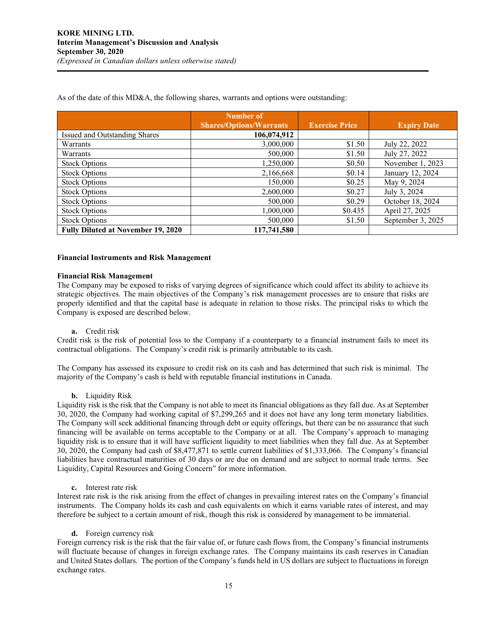As of the date of this MD&A, the following shares, warrants and options were outstanding:

|                                           | Number of                      |                       |                    |
|-------------------------------------------|--------------------------------|-----------------------|--------------------|
|                                           | <b>Shares/Options/Warrants</b> | <b>Exercise Price</b> | <b>Expiry Date</b> |
| Issued and Outstanding Shares             | 106,074,912                    |                       |                    |
| Warrants                                  | 3,000,000                      | \$1.50                | July 22, 2022      |
| Warrants                                  | 500,000                        | \$1.50                | July 27, 2022      |
| <b>Stock Options</b>                      | 1,250,000                      | \$0.50                | November 1, 2023   |
| <b>Stock Options</b>                      | 2,166,668                      | \$0.14                | January 12, 2024   |
| <b>Stock Options</b>                      | 150,000                        | \$0.25                | May 9, 2024        |
| <b>Stock Options</b>                      | 2,600,000                      | \$0.27                | July 3, 2024       |
| <b>Stock Options</b>                      | 500,000                        | \$0.29                | October 18, 2024   |
| <b>Stock Options</b>                      | 1,000,000                      | \$0.435               | April 27, 2025     |
| <b>Stock Options</b>                      | 500,000                        | \$1.50                | September 3, 2025  |
| <b>Fully Diluted at November 19, 2020</b> | 117,741,580                    |                       |                    |

#### **Financial Instruments and Risk Management**

#### **Financial Risk Management**

The Company may be exposed to risks of varying degrees of significance which could affect its ability to achieve its strategic objectives. The main objectives of the Company's risk management processes are to ensure that risks are properly identified and that the capital base is adequate in relation to those risks. The principal risks to which the Company is exposed are described below.

## **a.** Credit risk

Credit risk is the risk of potential loss to the Company if a counterparty to a financial instrument fails to meet its contractual obligations. The Company's credit risk is primarily attributable to its cash.

The Company has assessed its exposure to credit risk on its cash and has determined that such risk is minimal. The majority of the Company's cash is held with reputable financial institutions in Canada.

## **b.** Liquidity Risk

Liquidity risk is the risk that the Company is not able to meet its financial obligations as they fall due. As at September 30, 2020, the Company had working capital of \$7,299,265 and it does not have any long term monetary liabilities. The Company will seek additional financing through debt or equity offerings, but there can be no assurance that such financing will be available on terms acceptable to the Company or at all. The Company's approach to managing liquidity risk is to ensure that it will have sufficient liquidity to meet liabilities when they fall due. As at September 30, 2020, the Company had cash of \$8,477,871 to settle current liabilities of \$1,333,066. The Company's financial liabilities have contractual maturities of 30 days or are due on demand and are subject to normal trade terms. See Liquidity, Capital Resources and Going Concern" for more information.

**c.** Interest rate risk

Interest rate risk is the risk arising from the effect of changes in prevailing interest rates on the Company's financial instruments. The Company holds its cash and cash equivalents on which it earns variable rates of interest, and may therefore be subject to a certain amount of risk, though this risk is considered by management to be immaterial.

**d.** Foreign currency risk

Foreign currency risk is the risk that the fair value of, or future cash flows from, the Company's financial instruments will fluctuate because of changes in foreign exchange rates. The Company maintains its cash reserves in Canadian and United States dollars. The portion of the Company's funds held in US dollars are subject to fluctuations in foreign exchange rates.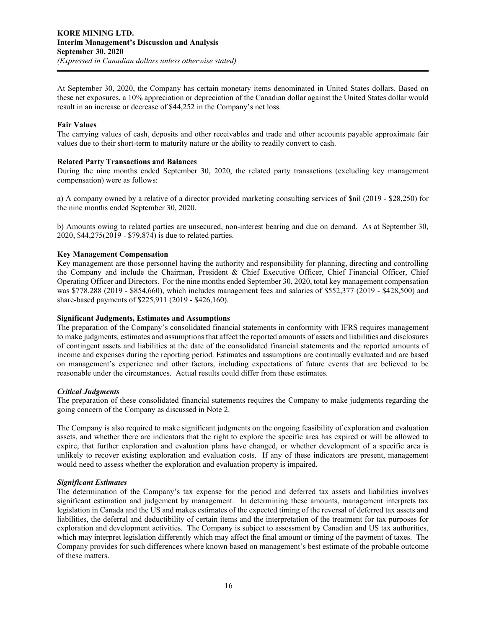At September 30, 2020, the Company has certain monetary items denominated in United States dollars. Based on these net exposures, a 10% appreciation or depreciation of the Canadian dollar against the United States dollar would result in an increase or decrease of \$44,252 in the Company's net loss.

# **Fair Values**

The carrying values of cash, deposits and other receivables and trade and other accounts payable approximate fair values due to their short-term to maturity nature or the ability to readily convert to cash.

# **Related Party Transactions and Balances**

During the nine months ended September 30, 2020, the related party transactions (excluding key management compensation) were as follows:

a) A company owned by a relative of a director provided marketing consulting services of \$nil (2019 - \$28,250) for the nine months ended September 30, 2020.

b) Amounts owing to related parties are unsecured, non-interest bearing and due on demand. As at September 30, 2020, \$44,275(2019 - \$79,874) is due to related parties.

## **Key Management Compensation**

Key management are those personnel having the authority and responsibility for planning, directing and controlling the Company and include the Chairman, President & Chief Executive Officer, Chief Financial Officer, Chief Operating Officer and Directors. For the nine months ended September 30, 2020, total key management compensation was \$778,288 (2019 - \$854,660), which includes management fees and salaries of \$552,377 (2019 - \$428,500) and share-based payments of \$225,911 (2019 - \$426,160).

## **Significant Judgments, Estimates and Assumptions**

The preparation of the Company's consolidated financial statements in conformity with IFRS requires management to make judgments, estimates and assumptions that affect the reported amounts of assets and liabilities and disclosures of contingent assets and liabilities at the date of the consolidated financial statements and the reported amounts of income and expenses during the reporting period. Estimates and assumptions are continually evaluated and are based on management's experience and other factors, including expectations of future events that are believed to be reasonable under the circumstances. Actual results could differ from these estimates.

#### *Critical Judgments*

The preparation of these consolidated financial statements requires the Company to make judgments regarding the going concern of the Company as discussed in Note 2.

The Company is also required to make significant judgments on the ongoing feasibility of exploration and evaluation assets, and whether there are indicators that the right to explore the specific area has expired or will be allowed to expire, that further exploration and evaluation plans have changed, or whether development of a specific area is unlikely to recover existing exploration and evaluation costs. If any of these indicators are present, management would need to assess whether the exploration and evaluation property is impaired.

#### *Significant Estimates*

The determination of the Company's tax expense for the period and deferred tax assets and liabilities involves significant estimation and judgement by management. In determining these amounts, management interprets tax legislation in Canada and the US and makes estimates of the expected timing of the reversal of deferred tax assets and liabilities, the deferral and deductibility of certain items and the interpretation of the treatment for tax purposes for exploration and development activities. The Company is subject to assessment by Canadian and US tax authorities, which may interpret legislation differently which may affect the final amount or timing of the payment of taxes. The Company provides for such differences where known based on management's best estimate of the probable outcome of these matters.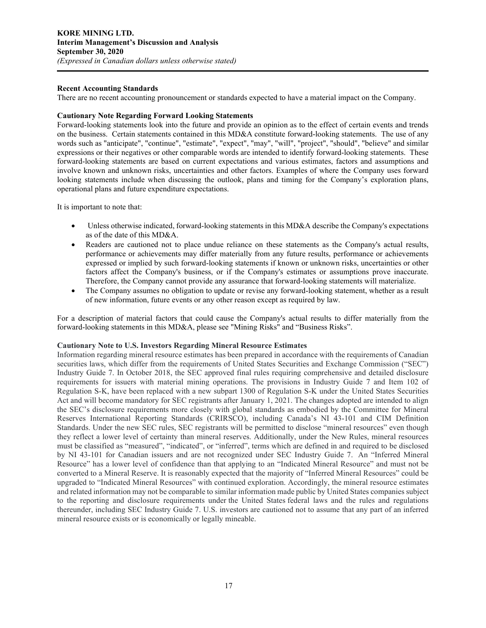# **Recent Accounting Standards**

There are no recent accounting pronouncement or standards expected to have a material impact on the Company.

# **Cautionary Note Regarding Forward Looking Statements**

Forward-looking statements look into the future and provide an opinion as to the effect of certain events and trends on the business. Certain statements contained in this MD&A constitute forward-looking statements. The use of any words such as "anticipate", "continue", "estimate", "expect", "may", "will", "project", "should", "believe" and similar expressions or their negatives or other comparable words are intended to identify forward-looking statements. These forward-looking statements are based on current expectations and various estimates, factors and assumptions and involve known and unknown risks, uncertainties and other factors. Examples of where the Company uses forward looking statements include when discussing the outlook, plans and timing for the Company's exploration plans, operational plans and future expenditure expectations.

It is important to note that:

- Unless otherwise indicated, forward-looking statements in this MD&A describe the Company's expectations as of the date of this MD&A.
- Readers are cautioned not to place undue reliance on these statements as the Company's actual results, performance or achievements may differ materially from any future results, performance or achievements expressed or implied by such forward-looking statements if known or unknown risks, uncertainties or other factors affect the Company's business, or if the Company's estimates or assumptions prove inaccurate. Therefore, the Company cannot provide any assurance that forward-looking statements will materialize.
- The Company assumes no obligation to update or revise any forward-looking statement, whether as a result of new information, future events or any other reason except as required by law.

For a description of material factors that could cause the Company's actual results to differ materially from the forward-looking statements in this MD&A, please see "Mining Risks" and "Business Risks".

## **Cautionary Note to U.S. Investors Regarding Mineral Resource Estimates**

Information regarding mineral resource estimates has been prepared in accordance with the requirements of Canadian securities laws, which differ from the requirements of United States Securities and Exchange Commission ("SEC") Industry Guide 7. In October 2018, the SEC approved final rules requiring comprehensive and detailed disclosure requirements for issuers with material mining operations. The provisions in Industry Guide 7 and Item 102 of Regulation S-K, have been replaced with a new subpart 1300 of Regulation S-K under the United States Securities Act and will become mandatory for SEC registrants after January 1, 2021. The changes adopted are intended to align the SEC's disclosure requirements more closely with global standards as embodied by the Committee for Mineral Reserves International Reporting Standards (CRIRSCO), including Canada's NI 43-101 and CIM Definition Standards. Under the new SEC rules, SEC registrants will be permitted to disclose "mineral resources" even though they reflect a lower level of certainty than mineral reserves. Additionally, under the New Rules, mineral resources must be classified as "measured", "indicated", or "inferred", terms which are defined in and required to be disclosed by NI 43-101 for Canadian issuers and are not recognized under SEC Industry Guide 7. An "Inferred Mineral Resource" has a lower level of confidence than that applying to an "Indicated Mineral Resource" and must not be converted to a Mineral Reserve. It is reasonably expected that the majority of "Inferred Mineral Resources" could be upgraded to "Indicated Mineral Resources" with continued exploration. Accordingly, the mineral resource estimates and related information may not be comparable to similar information made public by United States companies subject to the reporting and disclosure requirements under the United States federal laws and the rules and regulations thereunder, including SEC Industry Guide 7. U.S. investors are cautioned not to assume that any part of an inferred mineral resource exists or is economically or legally mineable.